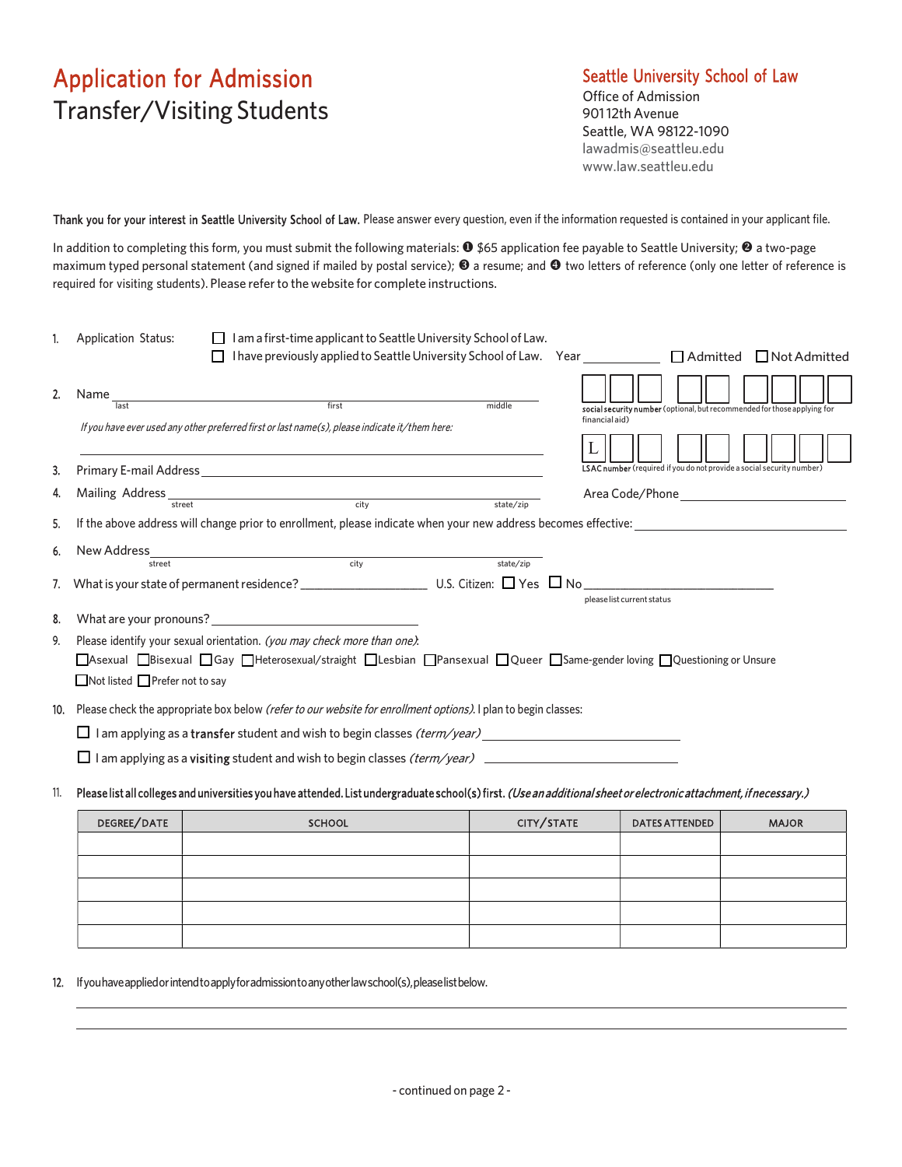## Application for Admission Transfer/Visiting Students

## Seattle University School of Law

Office of Admission 901 12th Avenue Seattle, WA 98122-1090 lawadmis@seattleu.edu www.law.seattleu.edu

Thank you for your interest in Seattle University School of Law. Please answer every question, even if the information requested is contained in your applicant file.

In addition to completing this form, you must submit the following materials:  $\bullet$  \$65 application fee payable to Seattle University;  $\bullet$  a two-page maximum typed personal statement (and signed if mailed by postal service);  $\bullet$  a resume; and  $\bullet$  two letters of reference (only one letter of reference is required for visiting students). Please refer to the website for complete instructions.

|     | $\Box$ I am a first-time applicant to Seattle University School of Law.<br>1. Application Status:<br>$\Box$ I have previously applied to Seattle University School of Law. Year                                                                                               |            | □ Admitted □ Not Admitted                                                                  |              |
|-----|-------------------------------------------------------------------------------------------------------------------------------------------------------------------------------------------------------------------------------------------------------------------------------|------------|--------------------------------------------------------------------------------------------|--------------|
|     | 2. Name<br>$\begin{array}{c c c c} \hline \text{first} & \text{first} \end{array}$<br>middle<br>last<br>If you have ever used any other preferred first or last name(s), please indicate it/them here:                                                                        |            | social security number (optional, but recommended for those applying for<br>financial aid) |              |
| 3.  |                                                                                                                                                                                                                                                                               |            | <b>LSAC number</b> (required if you do not provide a social security number)               |              |
|     | 4. Mailing Address<br>city<br>state/zip<br>street                                                                                                                                                                                                                             |            | Area Code/Phone<br><u> 1989 - Andrea Station Barbara, amerikan per</u>                     |              |
| 5.  | If the above address will change prior to enrollment, please indicate when your new address becomes effective:                                                                                                                                                                |            |                                                                                            |              |
|     | 6. New Address<br><u>and the set of the set of the set of the set of the set of the set of the set of the set of the set of the set of the set of the set of the set of the set of the set of the set of the set of the set of the set of the set </u><br>state/zip<br>street |            |                                                                                            |              |
|     |                                                                                                                                                                                                                                                                               |            | please list current status                                                                 |              |
|     | 8. What are your pronouns?                                                                                                                                                                                                                                                    |            |                                                                                            |              |
|     | 9. Please identify your sexual orientation. (you may check more than one).<br>□Asexual □Bisexual □Gay □Heterosexual/straight □Lesbian □Pansexual □Queer □Same-gender loving □Questioning or Unsure<br>$\Box$ Not listed $\Box$ Prefer not to say                              |            |                                                                                            |              |
|     | 10. Please check the appropriate box below (refer to our website for enrollment options). I plan to begin classes:                                                                                                                                                            |            |                                                                                            |              |
|     |                                                                                                                                                                                                                                                                               |            |                                                                                            |              |
|     |                                                                                                                                                                                                                                                                               |            |                                                                                            |              |
| 11. | Please list all colleges and universities you have attended. List undergraduate school(s) first. (Use an additional sheet or electronic attachment, if necessary.)                                                                                                            |            |                                                                                            |              |
|     | DEGREE/DATE<br>SCHOOL                                                                                                                                                                                                                                                         | CITY/STATE | <b>DATES ATTENDED</b>                                                                      | <b>MAIOR</b> |

| DEGREE/DATE | <b>SCHOOL</b> | CITY/STATE | <b>DATES ATTENDED</b> | <b>MAJOR</b> |
|-------------|---------------|------------|-----------------------|--------------|
|             |               |            |                       |              |
|             |               |            |                       |              |
|             |               |            |                       |              |
|             |               |            |                       |              |
|             |               |            |                       |              |
|             |               |            |                       |              |
|             |               |            |                       |              |

12. If you have applied or intend to apply for admission to any other law school(s), please list below.